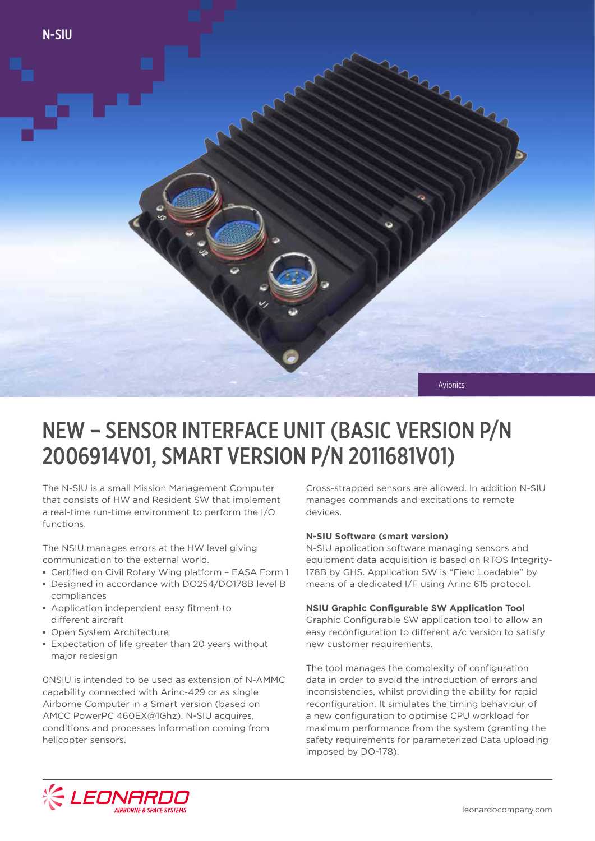

## NEW – SENSOR INTERFACE UNIT (BASIC VERSION P/N 2006914V01, SMART VERSION P/N 2011681V01)

The N-SIU is a small Mission Management Computer that consists of HW and Resident SW that implement a real-time run-time environment to perform the I/O functions.

The NSIU manages errors at the HW level giving communication to the external world.

- **▪** Certified on Civil Rotary Wing platform EASA Form 1
- **▪** Designed in accordance with DO254/DO178B level B compliances
- **▪** Application independent easy fitment to different aircraft
- **▪** Open System Architecture
- **▪** Expectation of life greater than 20 years without major redesign

0NSIU is intended to be used as extension of N-AMMC capability connected with Arinc-429 or as single Airborne Computer in a Smart version (based on AMCC PowerPC 460EX@1Ghz). N-SIU acquires, conditions and processes information coming from helicopter sensors.

Cross-strapped sensors are allowed. In addition N-SIU manages commands and excitations to remote devices.

### **N-SIU Software (smart version)**

N-SIU application software managing sensors and equipment data acquisition is based on RTOS Integrity-178B by GHS. Application SW is "Field Loadable" by means of a dedicated I/F using Arinc 615 protocol.

### **NSIU Graphic Configurable SW Application Tool**

Graphic Configurable SW application tool to allow an easy reconfiguration to different a/c version to satisfy new customer requirements.

The tool manages the complexity of configuration data in order to avoid the introduction of errors and inconsistencies, whilst providing the ability for rapid reconfiguration. It simulates the timing behaviour of a new configuration to optimise CPU workload for maximum performance from the system (granting the safety requirements for parameterized Data uploading imposed by DO-178).